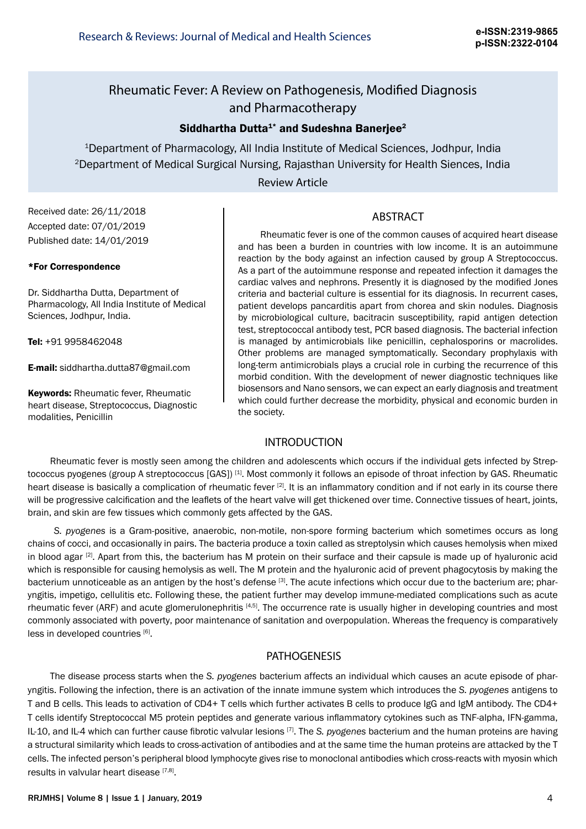# Rheumatic Fever: A Review on Pathogenesis, Modified Diagnosis and Pharmacotherapy

# Siddhartha Dutta<sup>1\*</sup> and Sudeshna Banerjee<sup>2</sup>

<sup>1</sup>Department of Pharmacology, All India Institute of Medical Sciences, Jodhpur, India 2Department of Medical Surgical Nursing, Rajasthan University for Health Siences, India

## Review Article

## ABSTRACT

Received date: 26/11/2018 Accepted date: 07/01/2019 Published date: 14/01/2019

#### \*For Correspondence

Dr. Siddhartha Dutta, Department of Pharmacology, All India Institute of Medical Sciences, Jodhpur, India.

Tel: +91 9958462048

E-mail: siddhartha.dutta87@gmail.com

**Keywords: Rheumatic fever, Rheumatic** heart disease, Streptococcus, Diagnostic modalities, Penicillin

Rheumatic fever is one of the common causes of acquired heart disease and has been a burden in countries with low income. It is an autoimmune reaction by the body against an infection caused by group A Streptococcus. As a part of the autoimmune response and repeated infection it damages the cardiac valves and nephrons. Presently it is diagnosed by the modified Jones criteria and bacterial culture is essential for its diagnosis. In recurrent cases, patient develops pancarditis apart from chorea and skin nodules. Diagnosis by microbiological culture, bacitracin susceptibility, rapid antigen detection test, streptococcal antibody test, PCR based diagnosis. The bacterial infection is managed by antimicrobials like penicillin, cephalosporins or macrolides. Other problems are managed symptomatically. Secondary prophylaxis with long-term antimicrobials plays a crucial role in curbing the recurrence of this morbid condition. With the development of newer diagnostic techniques like biosensors and Nano sensors, we can expect an early diagnosis and treatment which could further decrease the morbidity, physical and economic burden in the society.

#### INTRODUCTION

Rheumatic fever is mostly seen among the children and adolescents which occurs if the individual gets infected by Streptococcus pyogenes (group A streptococcus [GAS])<sup>[1]</sup>. Most commonly it follows an episode of throat infection by GAS. Rheumatic heart disease is basically a complication of rheumatic fever [2]. It is an inflammatory condition and if not early in its course there will be progressive calcification and the leaflets of the heart valve will get thickened over time. Connective tissues of heart, joints, brain, and skin are few tissues which commonly gets affected by the GAS.

*S. pyogenes* is a Gram-positive, anaerobic, non-motile, non-spore forming bacterium which sometimes occurs as long chains of cocci, and occasionally in pairs. The bacteria produce a toxin called as streptolysin which causes hemolysis when mixed in blood agar  $[2]$ . Apart from this, the bacterium has M protein on their surface and their capsule is made up of hyaluronic acid which is responsible for causing hemolysis as well. The M protein and the hyaluronic acid of prevent phagocytosis by making the bacterium unnoticeable as an antigen by the host's defense [3]. The acute infections which occur due to the bacterium are; pharyngitis, impetigo, cellulitis etc. Following these, the patient further may develop immune-mediated complications such as acute rheumatic fever (ARF) and acute glomerulonephritis [4,5]. The occurrence rate is usually higher in developing countries and most commonly associated with poverty, poor maintenance of sanitation and overpopulation. Whereas the frequency is comparatively less in developed countries [6].

### PATHOGENESIS

The disease process starts when the *S. pyogenes* bacterium affects an individual which causes an acute episode of pharyngitis. Following the infection, there is an activation of the innate immune system which introduces the *S. pyogenes* antigens to T and B cells. This leads to activation of CD4+ T cells which further activates B cells to produce IgG and IgM antibody. The CD4+ T cells identify Streptococcal M5 protein peptides and generate various inflammatory cytokines such as TNF-alpha, IFN-gamma, IL-10, and IL-4 which can further cause fibrotic valvular lesions [7]. The *S. pyogenes* bacterium and the human proteins are having a structural similarity which leads to cross-activation of antibodies and at the same time the human proteins are attacked by the T cells. The infected person's peripheral blood lymphocyte gives rise to monoclonal antibodies which cross-reacts with myosin which results in valvular heart disease  $[7,8]$ .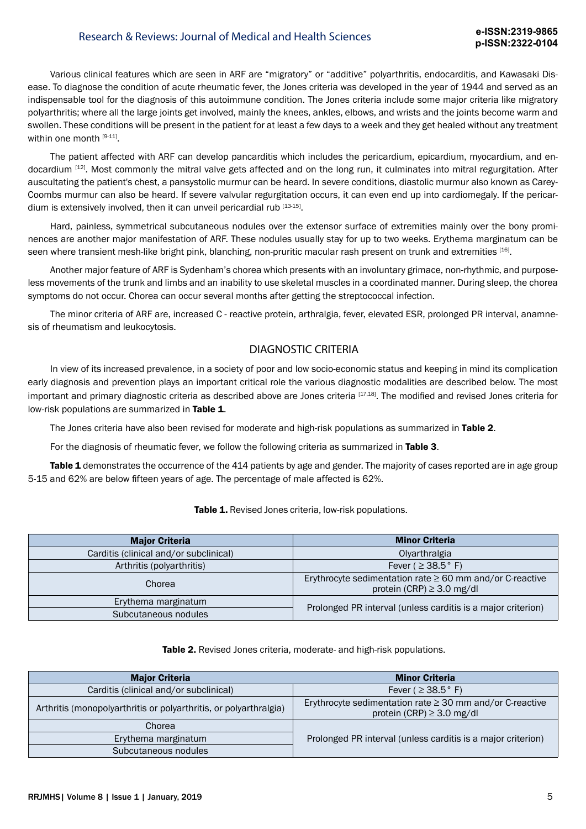# Research & Reviews: Journal of Medical and Health Sciences **e-ISSN:2319-9865**

Various clinical features which are seen in ARF are "migratory" or "additive" polyarthritis, endocarditis, and Kawasaki Disease. To diagnose the condition of acute rheumatic fever, the Jones criteria was developed in the year of 1944 and served as an indispensable tool for the diagnosis of this autoimmune condition. The Jones criteria include some major criteria like migratory polyarthritis; where all the large joints get involved, mainly the knees, ankles, elbows, and wrists and the joints become warm and swollen. These conditions will be present in the patient for at least a few days to a week and they get healed without any treatment within one month [9-11].

The patient affected with ARF can develop pancarditis which includes the pericardium, epicardium, myocardium, and endocardium [12]. Most commonly the mitral valve gets affected and on the long run, it culminates into mitral regurgitation. After auscultating the patient's chest, a pansystolic murmur can be heard. In severe conditions, diastolic murmur also known as Carey-Coombs murmur can also be heard. If severe valvular regurgitation occurs, it can even end up into cardiomegaly. If the pericardium is extensively involved, then it can unveil pericardial rub [13-15].

Hard, painless, symmetrical subcutaneous nodules over the extensor surface of extremities mainly over the bony prominences are another major manifestation of ARF. These nodules usually stay for up to two weeks. Erythema marginatum can be seen where transient mesh-like bright pink, blanching, non-pruritic macular rash present on trunk and extremities [16].

Another major feature of ARF is Sydenham's chorea which presents with an involuntary grimace, non-rhythmic, and purposeless movements of the trunk and limbs and an inability to use skeletal muscles in a coordinated manner. During sleep, the chorea symptoms do not occur. Chorea can occur several months after getting the streptococcal infection.

The minor criteria of ARF are, increased C - reactive protein, arthralgia, fever, elevated ESR, prolonged PR interval, anamnesis of rheumatism and leukocytosis.

### DIAGNOSTIC CRITERIA

In view of its increased prevalence, in a society of poor and low socio-economic status and keeping in mind its complication early diagnosis and prevention plays an important critical role the various diagnostic modalities are described below. The most important and primary diagnostic criteria as described above are Jones criteria [17,18]. The modified and revised Jones criteria for low-risk populations are summarized in Table 1.

The Jones criteria have also been revised for moderate and high-risk populations as summarized in Table 2.

For the diagnosis of rheumatic fever, we follow the following criteria as summarized in Table 3.

Table 1 demonstrates the occurrence of the 414 patients by age and gender. The majority of cases reported are in age group 5-15 and 62% are below fifteen years of age. The percentage of male affected is 62%.

| <b>Major Criteria</b>                  | <b>Minor Criteria</b>                                                                           |  |
|----------------------------------------|-------------------------------------------------------------------------------------------------|--|
| Carditis (clinical and/or subclinical) | Olyarthralgia                                                                                   |  |
| Arthritis (polyarthritis)              | Fever ( $\geq$ 38.5° F)                                                                         |  |
| Chorea                                 | Erythrocyte sedimentation rate $\geq 60$ mm and/or C-reactive<br>protein (CRP) $\geq$ 3.0 mg/dl |  |
| Erythema marginatum                    | Prolonged PR interval (unless carditis is a major criterion)                                    |  |
| Subcutaneous nodules                   |                                                                                                 |  |

Table 1. Revised Jones criteria, low-risk populations.

Table 2. Revised Jones criteria, moderate- and high-risk populations.

| <b>Major Criteria</b>                                             | <b>Minor Criteria</b>                                                                           |  |
|-------------------------------------------------------------------|-------------------------------------------------------------------------------------------------|--|
| Carditis (clinical and/or subclinical)                            | Fever ( $\geq$ 38.5° F)                                                                         |  |
| Arthritis (monopolyarthritis or polyarthritis, or polyarthralgia) | Erythrocyte sedimentation rate $\geq$ 30 mm and/or C-reactive<br>protein (CRP) $\geq$ 3.0 mg/dl |  |
| Chorea                                                            |                                                                                                 |  |
| Erythema marginatum                                               | Prolonged PR interval (unless carditis is a major criterion)                                    |  |
| Subcutaneous nodules                                              |                                                                                                 |  |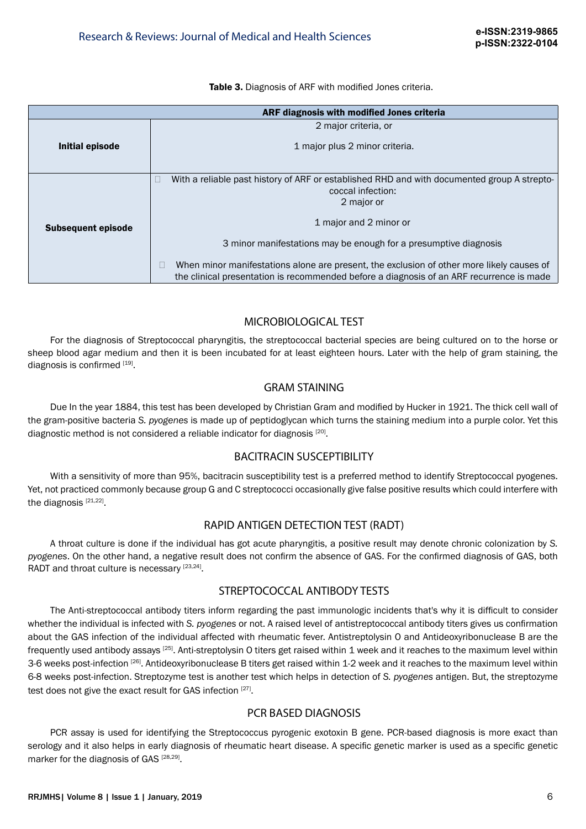Table 3. Diagnosis of ARF with modified Jones criteria.

| ARF diagnosis with modified Jones criteria                                                                                                                                            |  |  |
|---------------------------------------------------------------------------------------------------------------------------------------------------------------------------------------|--|--|
| 2 major criteria, or                                                                                                                                                                  |  |  |
| 1 major plus 2 minor criteria.                                                                                                                                                        |  |  |
| With a reliable past history of ARF or established RHD and with documented group A strepto-                                                                                           |  |  |
| coccal infection:                                                                                                                                                                     |  |  |
| 2 major or                                                                                                                                                                            |  |  |
| 1 major and 2 minor or                                                                                                                                                                |  |  |
| 3 minor manifestations may be enough for a presumptive diagnosis                                                                                                                      |  |  |
| When minor manifestations alone are present, the exclusion of other more likely causes of<br>the clinical presentation is recommended before a diagnosis of an ARF recurrence is made |  |  |
|                                                                                                                                                                                       |  |  |

## MICROBIOLOGICAL TEST

For the diagnosis of Streptococcal pharyngitis, the streptococcal bacterial species are being cultured on to the horse or sheep blood agar medium and then it is been incubated for at least eighteen hours. Later with the help of gram staining, the diagnosis is confirmed [19].

## GRAM STAINING

Due In the year 1884, this test has been developed by Christian Gram and modified by Hucker in 1921. The thick cell wall of the gram-positive bacteria *S. pyogenes* is made up of peptidoglycan which turns the staining medium into a purple color. Yet this diagnostic method is not considered a reliable indicator for diagnosis [20].

## BACITRACIN SUSCEPTIBILITY

With a sensitivity of more than 95%, bacitracin susceptibility test is a preferred method to identify Streptococcal pyogenes. Yet, not practiced commonly because group G and C streptococci occasionally give false positive results which could interfere with the diagnosis [21,22].

## RAPID ANTIGEN DETECTION TEST (RADT)

A throat culture is done if the individual has got acute pharyngitis, a positive result may denote chronic colonization by *S. pyogenes*. On the other hand, a negative result does not confirm the absence of GAS. For the confirmed diagnosis of GAS, both RADT and throat culture is necessary [23,24].

#### STREPTOCOCCAL ANTIBODY TESTS

The Anti-streptococcal antibody titers inform regarding the past immunologic incidents that's why it is difficult to consider whether the individual is infected with *S. pyogenes* or not. A raised level of antistreptococcal antibody titers gives us confirmation about the GAS infection of the individual affected with rheumatic fever. Antistreptolysin O and Antideoxyribonuclease B are the frequently used antibody assays [25]. Anti-streptolysin O titers get raised within 1 week and it reaches to the maximum level within 3-6 weeks post-infection [26]. Antideoxyribonuclease B titers get raised within 1-2 week and it reaches to the maximum level within 6-8 weeks post-infection. Streptozyme test is another test which helps in detection of *S. pyogenes* antigen. But, the streptozyme test does not give the exact result for GAS infection [27].

#### PCR BASED DIAGNOSIS

PCR assay is used for identifying the Streptococcus pyrogenic exotoxin B gene. PCR-based diagnosis is more exact than serology and it also helps in early diagnosis of rheumatic heart disease. A specific genetic marker is used as a specific genetic marker for the diagnosis of GAS<sup>[28,29]</sup>.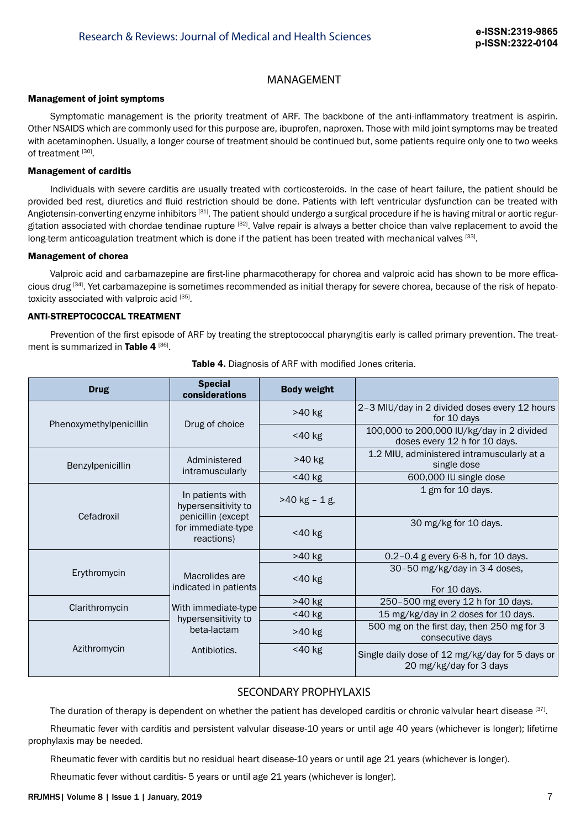### MANAGEMENT

#### Management of joint symptoms

Symptomatic management is the priority treatment of ARF. The backbone of the anti-inflammatory treatment is aspirin. Other NSAIDS which are commonly used for this purpose are, ibuprofen, naproxen. Those with mild joint symptoms may be treated with acetaminophen. Usually, a longer course of treatment should be continued but, some patients require only one to two weeks of treatment [30].

#### Management of carditis

Individuals with severe carditis are usually treated with corticosteroids. In the case of heart failure, the patient should be provided bed rest, diuretics and fluid restriction should be done. Patients with left ventricular dysfunction can be treated with Angiotensin-converting enzyme inhibitors<sup>[31]</sup>. The patient should undergo a surgical procedure if he is having mitral or aortic regurgitation associated with chordae tendinae rupture [32]. Valve repair is always a better choice than valve replacement to avoid the long-term anticoagulation treatment which is done if the patient has been treated with mechanical valves [33].

#### Management of chorea

Valproic acid and carbamazepine are first-line pharmacotherapy for chorea and valproic acid has shown to be more efficacious drug [34]. Yet carbamazepine is sometimes recommended as initial therapy for severe chorea, because of the risk of hepatotoxicity associated with valproic acid [35].

#### ANTI-STREPTOCOCCAL TREATMENT

Prevention of the first episode of ARF by treating the streptococcal pharyngitis early is called primary prevention. The treatment is summarized in Table 4<sup>[36]</sup>.

| <b>Drug</b>                                                                                                     | <b>Special</b><br>considerations | <b>Body weight</b>                                                         |                                                                            |
|-----------------------------------------------------------------------------------------------------------------|----------------------------------|----------------------------------------------------------------------------|----------------------------------------------------------------------------|
| Phenoxymethylpenicillin                                                                                         | Drug of choice                   | >40 kg                                                                     | 2-3 MIU/day in 2 divided doses every 12 hours<br>for 10 days               |
|                                                                                                                 |                                  | <40 kg                                                                     | 100,000 to 200,000 IU/kg/day in 2 divided<br>doses every 12 h for 10 days. |
| Administered<br>Benzylpenicillin<br>intramuscularly                                                             | >40 kg                           | 1.2 MIU, administered intramuscularly at a<br>single dose                  |                                                                            |
|                                                                                                                 |                                  | <40 kg                                                                     | 600,000 IU single dose                                                     |
| In patients with<br>hypersensitivity to<br>penicillin (except<br>Cefadroxil<br>for immediate-type<br>reactions) | $>40$ kg - 1 g,                  | 1 gm for 10 days.                                                          |                                                                            |
|                                                                                                                 |                                  | <40 kg                                                                     | 30 mg/kg for 10 days.                                                      |
| Erythromycin<br>Macrolides are<br>indicated in patients                                                         | >40 kg                           | 0.2-0.4 g every 6-8 h, for 10 days.                                        |                                                                            |
|                                                                                                                 | <40 kg                           | 30-50 mg/kg/day in 3-4 doses,<br>For 10 days.                              |                                                                            |
| Clarithromycin<br>With immediate-type<br>hypersensitivity to<br>beta-lactam<br>Azithromycin<br>Antibiotics.     | >40 kg                           | 250-500 mg every 12 h for 10 days.                                         |                                                                            |
|                                                                                                                 | <40 kg                           | 15 mg/kg/day in 2 doses for 10 days.                                       |                                                                            |
|                                                                                                                 | >40 kg                           | 500 mg on the first day, then 250 mg for 3<br>consecutive days             |                                                                            |
|                                                                                                                 | <40 kg                           | Single daily dose of 12 mg/kg/day for 5 days or<br>20 mg/kg/day for 3 days |                                                                            |

Table 4. Diagnosis of ARF with modified Jones criteria.

# SECONDARY PROPHYLAXIS

The duration of therapy is dependent on whether the patient has developed carditis or chronic valvular heart disease [37].

Rheumatic fever with carditis and persistent valvular disease-10 years or until age 40 years (whichever is longer); lifetime prophylaxis may be needed.

Rheumatic fever with carditis but no residual heart disease-10 years or until age 21 years (whichever is longer).

Rheumatic fever without carditis- 5 years or until age 21 years (whichever is longer).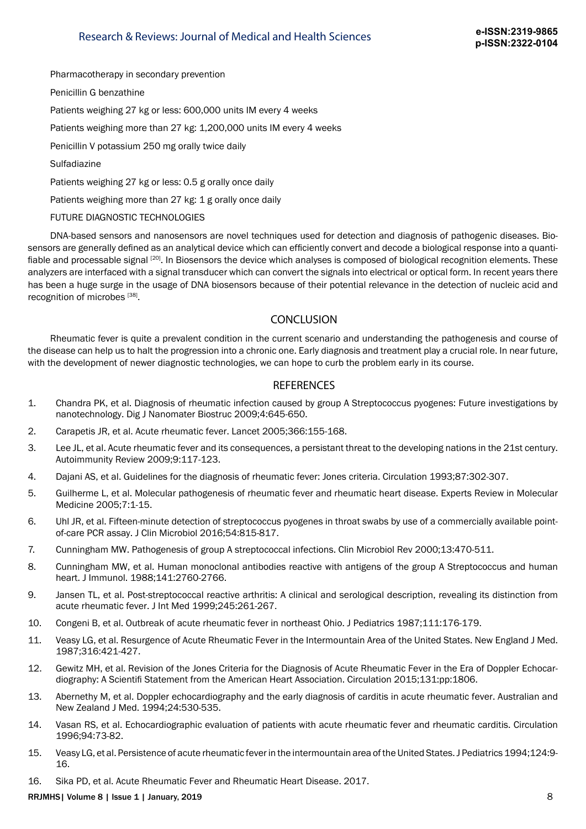Pharmacotherapy in secondary prevention

Penicillin G benzathine

Patients weighing 27 kg or less: 600,000 units IM every 4 weeks

Patients weighing more than 27 kg: 1,200,000 units IM every 4 weeks

Penicillin V potassium 250 mg orally twice daily

**Sulfadiazine** 

Patients weighing 27 kg or less: 0.5 g orally once daily

Patients weighing more than 27 kg: 1 g orally once daily

#### FUTURE DIAGNOSTIC TECHNOLOGIES

DNA-based sensors and nanosensors are novel techniques used for detection and diagnosis of pathogenic diseases. Biosensors are generally defined as an analytical device which can efficiently convert and decode a biological response into a quantifiable and processable signal <sup>[20]</sup>. In Biosensors the device which analyses is composed of biological recognition elements. These analyzers are interfaced with a signal transducer which can convert the signals into electrical or optical form. In recent years there has been a huge surge in the usage of DNA biosensors because of their potential relevance in the detection of nucleic acid and recognition of microbes [38].

## **CONCLUSION**

Rheumatic fever is quite a prevalent condition in the current scenario and understanding the pathogenesis and course of the disease can help us to halt the progression into a chronic one. Early diagnosis and treatment play a crucial role. In near future, with the development of newer diagnostic technologies, we can hope to curb the problem early in its course.

#### **REFERENCES**

- 1. Chandra PK, et al. Diagnosis of rheumatic infection caused by group A Streptococcus pyogenes: Future investigations by nanotechnology. Dig J Nanomater Biostruc 2009;4:645-650.
- 2. Carapetis JR, et al. Acute rheumatic fever. Lancet 2005;366:155-168.
- 3. Lee JL, et al. Acute rheumatic fever and its consequences, a persistant threat to the developing nations in the 21st century. Autoimmunity Review 2009;9:117-123.
- 4. Dajani AS, et al. Guidelines for the diagnosis of rheumatic fever: Jones criteria. Circulation 1993;87:302-307.
- 5. Guilherme L, et al. Molecular pathogenesis of rheumatic fever and rheumatic heart disease. Experts Review in Molecular Medicine 2005;7:1-15.
- 6. Uhl JR, et al. Fifteen-minute detection of streptococcus pyogenes in throat swabs by use of a commercially available pointof-care PCR assay. J Clin Microbiol 2016;54:815-817.
- 7. Cunningham MW. Pathogenesis of group A streptococcal infections. Clin Microbiol Rev 2000;13:470-511.
- 8. Cunningham MW, et al. Human monoclonal antibodies reactive with antigens of the group A Streptococcus and human heart. J Immunol. 1988;141:2760-2766.
- 9. Jansen TL, et al. Post-streptococcal reactive arthritis: A clinical and serological description, revealing its distinction from acute rheumatic fever. J Int Med 1999;245:261-267.
- 10. Congeni B, et al. Outbreak of acute rheumatic fever in northeast Ohio. J Pediatrics 1987;111:176-179.
- 11. Veasy LG, et al. Resurgence of Acute Rheumatic Fever in the Intermountain Area of the United States. New England J Med. 1987;316:421-427.
- 12. Gewitz MH, et al. Revision of the Jones Criteria for the Diagnosis of Acute Rheumatic Fever in the Era of Doppler Echocardiography: A Scientifi Statement from the American Heart Association. Circulation 2015;131:pp:1806.
- 13. Abernethy M, et al. Doppler echocardiography and the early diagnosis of carditis in acute rheumatic fever. Australian and New Zealand J Med. 1994;24:530-535.
- 14. Vasan RS, et al. Echocardiographic evaluation of patients with acute rheumatic fever and rheumatic carditis. Circulation 1996;94:73-82.
- 15. Veasy LG, et al. Persistence of acute rheumatic fever in the intermountain area of the United States. J Pediatrics 1994;124:9- 16.
- 16. Sika PD, et al. Acute Rheumatic Fever and Rheumatic Heart Disease. 2017.

RRJMHS| Volume 8 | Issue 1 | January, 2019